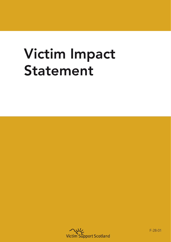## Victim Impact Statement



F-28-01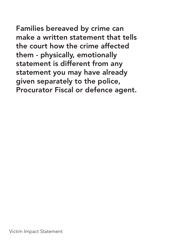Families bereaved by crime can make a written statement that tells the court how the crime affected them - physically, emotionally statement is different from any statement you may have already given separately to the police, Procurator Fiscal or defence agent.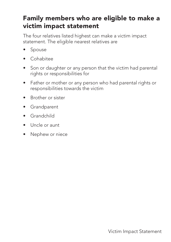## Family members who are eligible to make a victim impact statement

The four relatives listed highest can make a victim impact statement. The eligible nearest relatives are

- Spouse
- Cohabitee
- Son or daughter or any person that the victim had parental rights or responsibilities for
- Father or mother or any person who had parental rights or responsibilities towards the victim
- Brother or sister
- Grandparent
- Grandchild
- Uncle or aunt
- Nephew or niece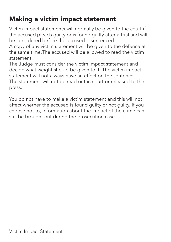## Making a victim impact statement

Victim impact statements will normally be given to the court if the accused pleads guilty or is found guilty after a trial and will be considered before the accused is sentenced.

A copy of any victim statement will be given to the defence at the same time.The accused will be allowed to read the victim statement.

The Judge must consider the victim impact statement and decide what weight should be given to it. The victim impact statement will not always have an effect on the sentence. The statement will not be read out in court or released to the press.

You do not have to make a victim statement and this will not affect whether the accused is found guilty or not guilty. If you choose not to, information about the impact of the crime can still be brought out during the prosecution case.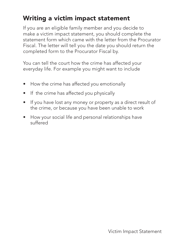## Writing a victim impact statement

If you are an eligible family member and you decide to make a victim impact statement, you should complete the statement form which came with the letter from the Procurator Fiscal. The letter will tell you the date you should return the completed form to the Procurator Fiscal by.

You can tell the court how the crime has affected your everyday life. For example you might want to include

- How the crime has affected you emotionally
- If the crime has affected you physically
- If you have lost any money or property as a direct result of the crime, or because you have been unable to work
- How your social life and personal relationships have suffered